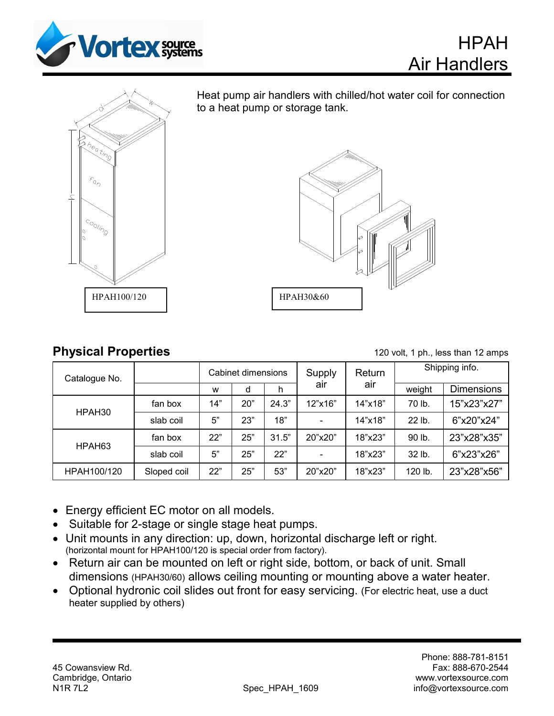



Ξ Heat pump air handlers with chilled/hot water coil for connection to a heat pump or storage tank.



## **Physical Properties** 120 volt, 1 ph., less than 12 amps

HPAH

Air Handlers

| Catalogue No.      |             | Cabinet dimensions |     |       | Supply  | Return  | Shipping info. |                   |
|--------------------|-------------|--------------------|-----|-------|---------|---------|----------------|-------------------|
|                    |             | W                  | d   | h     | air     | air     | weight         | <b>Dimensions</b> |
| HPAH <sub>30</sub> | fan box     | 14"                | 20" | 24.3" | 12"x16" | 14"x18" | 70 lb.         | 15"x23"x27"       |
|                    | slab coil   | 5"                 | 23" | 18"   |         | 14"x18" | 22 lb.         | 6"x20"x24"        |
| HPAH <sub>63</sub> | fan box     | 22"                | 25" | 31.5" | 20"x20" | 18"x23" | 90 lb.         | 23"x28"x35"       |
|                    | slab coil   | 5"                 | 25" | 22"   |         | 18"x23" | 32 lb.         | 6"x23"x26"        |
| HPAH100/120        | Sloped coil | 22"                | 25" | 53"   | 20"x20" | 18"x23" | 120 lb.        | 23"x28"x56"       |
|                    |             |                    |     |       |         |         |                |                   |

- Energy efficient EC motor on all models.
- Suitable for 2-stage or single stage heat pumps.
- Unit mounts in any direction: up, down, horizontal discharge left or right. (horizontal mount for HPAH100/120 is special order from factory).
- Return air can be mounted on left or right side, bottom, or back of unit. Small dimensions (HPAH30/60) allows ceiling mounting or mounting above a water heater.
- Optional hydronic coil slides out front for easy servicing. (For electric heat, use a duct heater supplied by others)